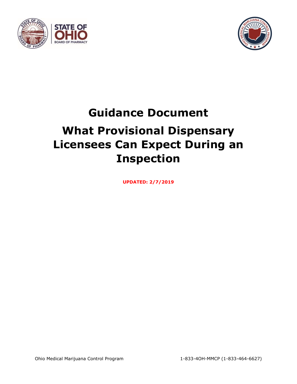



# **Guidance Document What Provisional Dispensary Licensees Can Expect During an Inspection**

**UPDATED: 2/7/2019**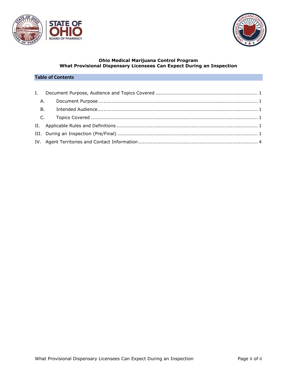



#### **Ohio Medical Marijuana Control Program What Provisional Dispensary Licensees Can Expect During an Inspection**

## **Table of Contents**

| <b>A.</b> |  |
|-----------|--|
| <b>B.</b> |  |
|           |  |
|           |  |
|           |  |
|           |  |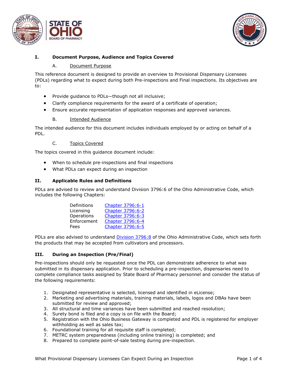



### <span id="page-2-1"></span><span id="page-2-0"></span>**I. Document Purpose, Audience and Topics Covered**

#### A. Document Purpose

This reference document is designed to provide an overview to Provisional Dispensary Licensees (PDLs) regarding what to expect during both Pre-inspections and Final inspections. Its objectives are to:

- Provide guidance to PDLs—though not all inclusive;
- Clarify compliance requirements for the award of a certificate of operation;
- Ensure accurate representation of application responses and approved variances.

#### B. Intended Audience

<span id="page-2-2"></span>The intended audience for this document includes individuals employed by or acting on behalf of a PDL.

#### C. Topics Covered

<span id="page-2-3"></span>The topics covered in this guidance document include:

- When to schedule pre-inspections and final inspections
- What PDLs can expect during an inspection

#### <span id="page-2-4"></span>**II. Applicable Rules and Definitions**

PDLs are advised to review and understand Division 3796:6 of the Ohio Administrative Code, which includes the following Chapters:

| Definitions | Chapter 3796:6-1 |
|-------------|------------------|
| Licensing   | Chapter 3796:6-2 |
| Operations  | Chapter 3796:6-3 |
| Enforcement | Chapter 3796:6-4 |
| Fees        | Chapter 3796:6-5 |

PDLs are also advised to understand [Division 3796:8](http://codes.ohio.gov/oac/3796%3A8) of the Ohio Administrative Code, which sets forth the products that may be accepted from cultivators and processors.

#### <span id="page-2-5"></span>**III. During an Inspection (Pre/Final)**

Pre-inspections should only be requested once the PDL can demonstrate adherence to what was submitted in its dispensary application. Prior to scheduling a pre-inspection, dispensaries need to complete compliance tasks assigned by State Board of Pharmacy personnel and consider the status of the following requirements:

- 1. Designated representative is selected, licensed and identified in eLicense;
- 2. Marketing and advertising materials, training materials, labels, logos and DBAs have been submitted for review and approved;
- 3. All structural and time variances have been submitted and reached resolution;
- 4. Surety bond is filed and a copy is on file with the Board;
- 5. Registration with the Ohio Business Gateway is completed and PDL is registered for employer withholding as well as sales tax;
- 6. Foundational training for all requisite staff is completed;
- 7. METRC system preparedness (including online training) is completed; and
- 8. Prepared to complete point-of-sale testing during pre-inspection.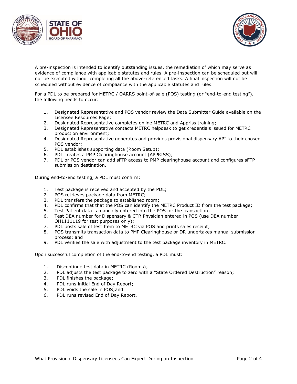



A pre-inspection is intended to identify outstanding issues, the remediation of which may serve as evidence of compliance with applicable statutes and rules. A pre-inspection can be scheduled but will not be executed without completing all the above-referenced tasks. A final inspection will not be scheduled without evidence of compliance with the applicable statutes and rules.

For a PDL to be prepared for METRC / OARRS point-of-sale (POS) testing (or "end-to-end testing"), the following needs to occur:

- 1. Designated Representative and POS vendor review the Data Submitter Guide available on the Licensee Resources Page;
- 2. Designated Representative completes online METRC and Appriss training;
- 3. Designated Representative contacts METRC helpdesk to get credentials issued for METRC production environment;
- 4. Designated Representative generates and provides provisional dispensary API to their chosen POS vendor;
- 5. PDL establishes supporting data (Room Setup);
- 6. PDL creates a PMP Clearinghouse account (APPRISS);
- 7. PDL or POS vendor can add sFTP access to PMP clearinghouse account and configures sFTP submission destination.

During end-to-end testing, a PDL must confirm:

- 1. Test package is received and accepted by the PDL;
- 2. POS retrieves package data from METRC;
- 3. PDL transfers the package to established room;
- 4. PDL confirms that that the POS can identify the METRC Product ID from the test package;
- 5. Test Patient data is manually entered into the POS for the transaction;
- 6. Test DEA number for Dispensary & CTR Physician entered in POS (use DEA number OH1111119 for test purposes only);
- 7. PDL posts sale of test Item to METRC via POS and prints sales receipt;
- 8. POS transmits transaction data to PMP Clearinghouse or DR undertakes manual submission process; and
- 9. PDL verifies the sale with adjustment to the test package inventory in METRC.

Upon successful completion of the end-to-end testing, a PDL must:

- 1. Discontinue test data in METRC (Rooms);
- 2. PDL adjusts the test package to zero with a "State Ordered Destruction" reason;
- 3. PDL finishes the package;
- 4. PDL runs initial End of Day Report;
- 5. PDL voids the sale in POS;and
- 6. PDL runs revised End of Day Report.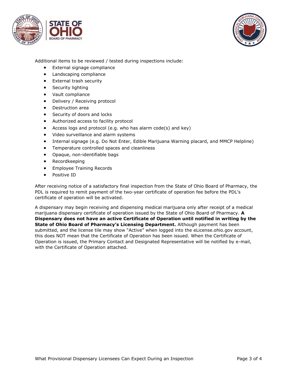



Additional items to be reviewed / tested during inspections include:

- External signage compliance
- Landscaping compliance
- External trash security
- Security lighting
- Vault compliance
- Delivery / Receiving protocol
- Destruction area
- Security of doors and locks
- Authorized access to facility protocol
- Access logs and protocol (e.g. who has alarm code(s) and key)
- Video surveillance and alarm systems
- Internal signage (e.g. Do Not Enter, Edible Marijuana Warning placard, and MMCP Helpline)
- Temperature controlled spaces and cleanliness
- Opaque, non-identifiable bags
- Recordkeeping
- Employee Training Records
- Positive ID

After receiving notice of a satisfactory final inspection from the State of Ohio Board of Pharmacy, the PDL is required to remit payment of the two-year certificate of operation fee before the PDL's certificate of operation will be activated.

A dispensary may begin receiving and dispensing medical marijuana only after receipt of a medical marijuana dispensary certificate of operation issued by the State of Ohio Board of Pharmacy. **A Dispensary does not have an active Certificate of Operation until notified in writing by the State of Ohio Board of Pharmacy's Licensing Department.** Although payment has been submitted, and the license tile may show "Active" when logged into the eLicense.ohio.gov account, this does NOT mean that the Certificate of Operation has been issued. When the Certificate of Operation is issued, the Primary Contact and Designated Representative will be notified by e-mail, with the Certificate of Operation attached.